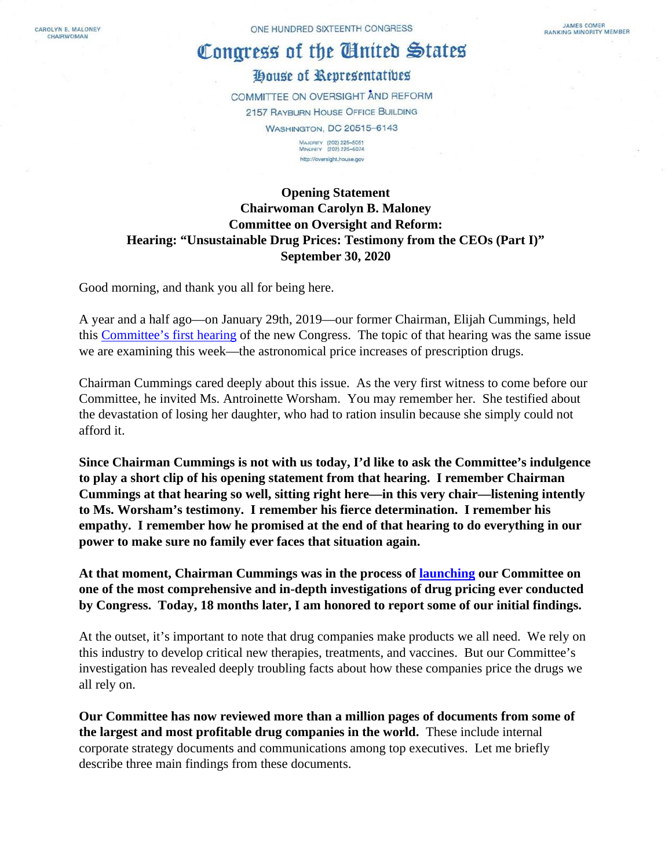CAROLYN B. MALONEY CHAIRWOMAN

ONE HUNDRED SIXTEENTH CONGRESS

# Congress of the United States

# House of Representatives

COMMITTEE ON OVERSIGHT AND REFORM 2157 RAYBURN HOUSE OFFICE BUILDING **WASHINGTON, DC 20515-6143** MAJORITY (202) 225-5051<br>MINORITY (202) 225-5074

http://oversight.hause.gov

## **Opening Statement Chairwoman Carolyn B. Maloney Committee on Oversight and Reform: Hearing: "Unsustainable Drug Prices: Testimony from the CEOs (Part I)" September 30, 2020**

Good morning, and thank you all for being here.

A year and a half ago—on January 29th, 2019—our former Chairman, Elijah Cummings, held this [Committee's first hearing](https://oversight.house.gov/legislation/hearings/examining-the-actions-of-drug-companies-in-raising-prescription-drug-prices) of the new Congress. The topic of that hearing was the same issue we are examining this week—the astronomical price increases of prescription drugs.

Chairman Cummings cared deeply about this issue. As the very first witness to come before our Committee, he invited Ms. Antroinette Worsham. You may remember her. She testified about the devastation of losing her daughter, who had to ration insulin because she simply could not afford it.

**Since Chairman Cummings is not with us today, I'd like to ask the Committee's indulgence to play a short clip of his opening statement from that hearing. I remember Chairman Cummings at that hearing so well, sitting right here—in this very chair—listening intently to Ms. Worsham's testimony. I remember his fierce determination. I remember his empathy. I remember how he promised at the end of that hearing to do everything in our power to make sure no family ever faces that situation again.**

**At that moment, Chairman Cummings was in the process of [launching](https://oversight.house.gov/news/press-releases/oversight-committee-launches-sweeping-drug-price-investigation) our Committee on one of the most comprehensive and in-depth investigations of drug pricing ever conducted by Congress. Today, 18 months later, I am honored to report some of our initial findings.**

At the outset, it's important to note that drug companies make products we all need. We rely on this industry to develop critical new therapies, treatments, and vaccines. But our Committee's investigation has revealed deeply troubling facts about how these companies price the drugs we all rely on.

**Our Committee has now reviewed more than a million pages of documents from some of the largest and most profitable drug companies in the world.** These include internal corporate strategy documents and communications among top executives. Let me briefly describe three main findings from these documents.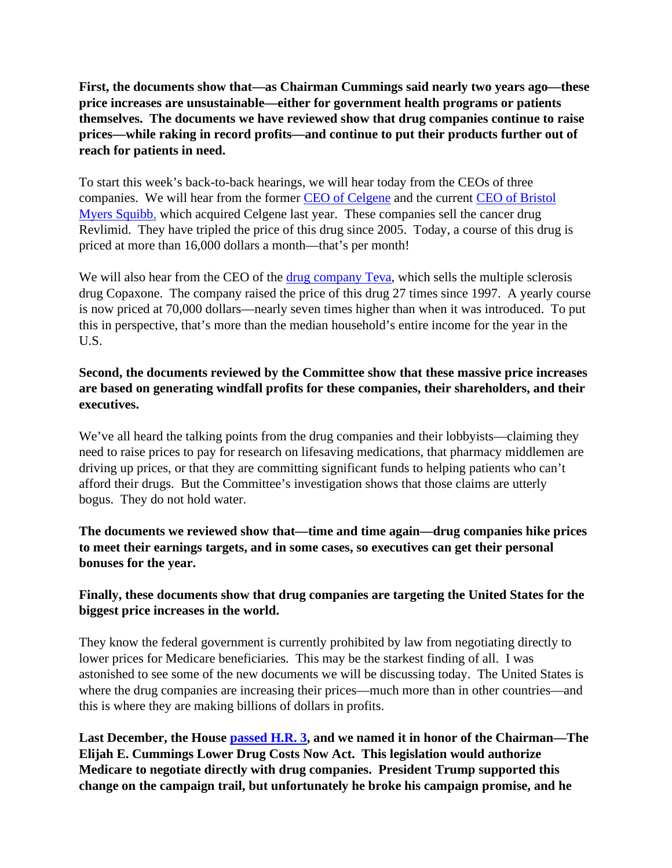**First, the documents show that—as Chairman Cummings said nearly two years ago—these price increases are unsustainable—either for government health programs or patients themselves. The documents we have reviewed show that drug companies continue to raise prices—while raking in record profits—and continue to put their products further out of reach for patients in need.**

To start this week's back-to-back hearings, we will hear today from the CEOs of three companies. We will hear from the former [CEO of Celgene](https://oversight.house.gov/sites/democrats.oversight.house.gov/files/Celgene%20BMS%20Staff%20Report%2009-30-2020.pdf) and the current [CEO of Bristol](https://oversight.house.gov/sites/democrats.oversight.house.gov/files/Celgene%20BMS%20Staff%20Report%2009-30-2020.pdf)  [Myers Squibb,](https://oversight.house.gov/sites/democrats.oversight.house.gov/files/Celgene%20BMS%20Staff%20Report%2009-30-2020.pdf) which acquired Celgene last year. These companies sell the cancer drug Revlimid. They have tripled the price of this drug since 2005. Today, a course of this drug is priced at more than 16,000 dollars a month—that's per month!

We will also hear from the CEO of the [drug company Teva,](https://oversight.house.gov/sites/democrats.oversight.house.gov/files/Teva%20Staff%20Report%2009-30-2020.pdf) which sells the multiple sclerosis drug Copaxone. The company raised the price of this drug 27 times since 1997. A yearly course is now priced at 70,000 dollars—nearly seven times higher than when it was introduced. To put this in perspective, that's more than the median household's entire income for the year in the U.S.

### **Second, the documents reviewed by the Committee show that these massive price increases are based on generating windfall profits for these companies, their shareholders, and their executives.**

We've all heard the talking points from the drug companies and their lobbyists—claiming they need to raise prices to pay for research on lifesaving medications, that pharmacy middlemen are driving up prices, or that they are committing significant funds to helping patients who can't afford their drugs. But the Committee's investigation shows that those claims are utterly bogus. They do not hold water.

**The documents we reviewed show that—time and time again—drug companies hike prices to meet their earnings targets, and in some cases, so executives can get their personal bonuses for the year.**

### **Finally, these documents show that drug companies are targeting the United States for the biggest price increases in the world.**

They know the federal government is currently prohibited by law from negotiating directly to lower prices for Medicare beneficiaries. This may be the starkest finding of all. I was astonished to see some of the new documents we will be discussing today. The United States is where the drug companies are increasing their prices—much more than in other countries—and this is where they are making billions of dollars in profits.

**Last December, the House [passed H.R. 3,](https://oversight.house.gov/news/press-releases/chairwoman-maloney-praises-passage-of-hr-3-the-elijah-e-cummings-lower-drug) and we named it in honor of the Chairman—The Elijah E. Cummings Lower Drug Costs Now Act. This legislation would authorize Medicare to negotiate directly with drug companies. President Trump supported this change on the campaign trail, but unfortunately he broke his campaign promise, and he**